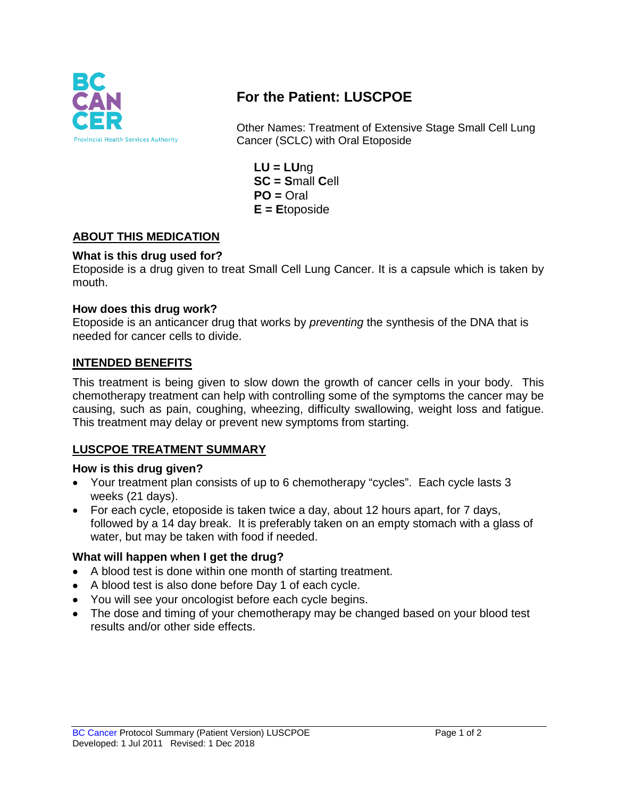

# **For the Patient: LUSCPOE**

Other Names: Treatment of Extensive Stage Small Cell Lung Cancer (SCLC) with Oral Etoposide

**LU = LU**ng **SC = S**mall **C**ell  $PO = Oral$ **E = E**toposide

# **ABOUT THIS MEDICATION**

## **What is this drug used for?**

Etoposide is a drug given to treat Small Cell Lung Cancer. It is a capsule which is taken by mouth.

#### **How does this drug work?**

Etoposide is an anticancer drug that works by *preventing* the synthesis of the DNA that is needed for cancer cells to divide.

#### **INTENDED BENEFITS**

This treatment is being given to slow down the growth of cancer cells in your body. This chemotherapy treatment can help with controlling some of the symptoms the cancer may be causing, such as pain, coughing, wheezing, difficulty swallowing, weight loss and fatigue. This treatment may delay or prevent new symptoms from starting.

#### **LUSCPOE TREATMENT SUMMARY**

#### **How is this drug given?**

- Your treatment plan consists of up to 6 chemotherapy "cycles". Each cycle lasts 3 weeks (21 days).
- For each cycle, etoposide is taken twice a day, about 12 hours apart, for 7 days, followed by a 14 day break. It is preferably taken on an empty stomach with a glass of water, but may be taken with food if needed.

#### **What will happen when I get the drug?**

- A blood test is done within one month of starting treatment.
- A blood test is also done before Day 1 of each cycle.
- You will see your oncologist before each cycle begins.
- The dose and timing of your chemotherapy may be changed based on your blood test results and/or other side effects.